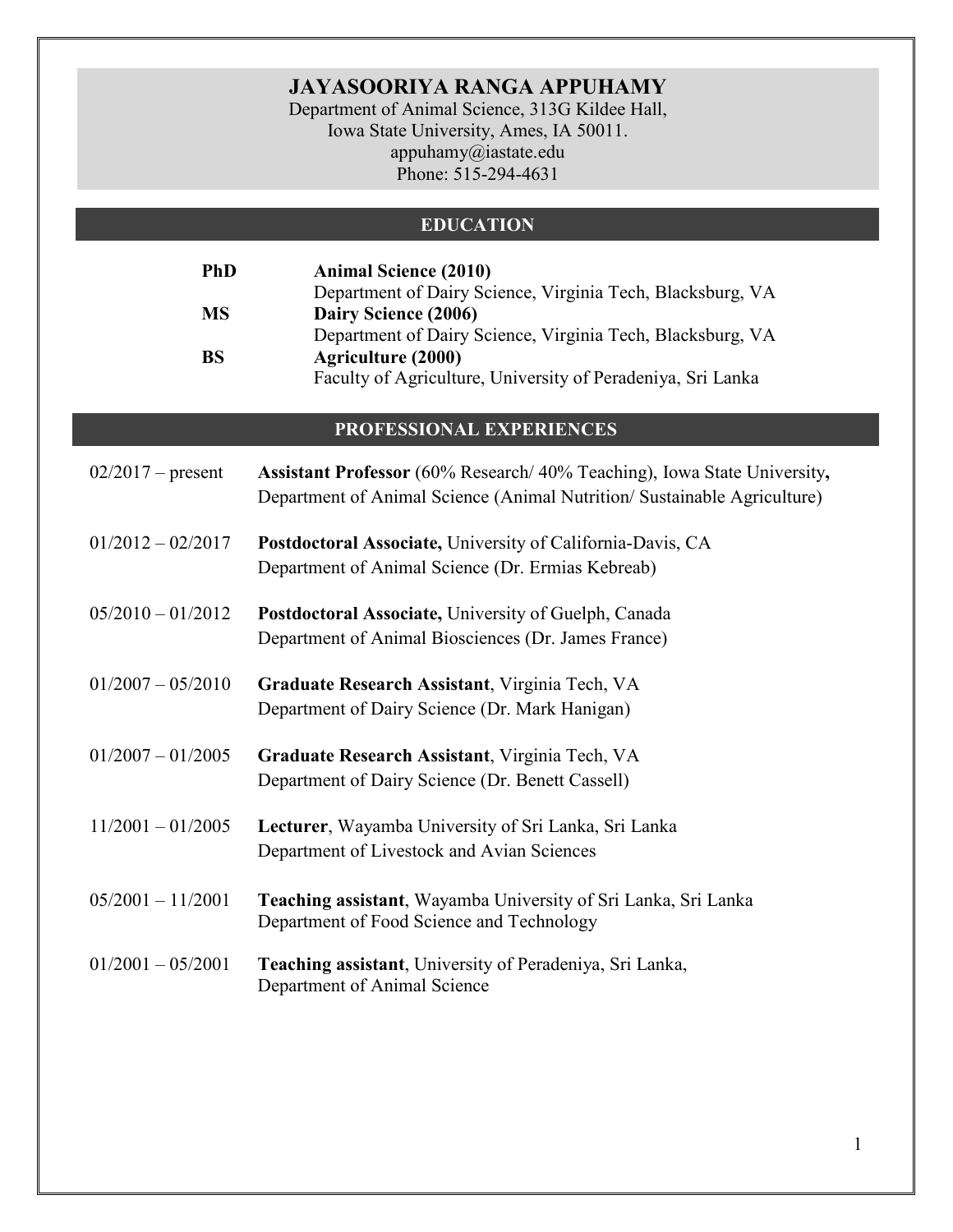# **JAYASOORIYA RANGA APPUHAMY**

Department of Animal Science, 313G Kildee Hall, Iowa State University, Ames, IA 50011. appuhamy@iastate.edu Phone: 515-294-4631

### **EDUCATION**

| <b>PhD</b> | <b>Animal Science (2010)</b>                                |
|------------|-------------------------------------------------------------|
|            | Department of Dairy Science, Virginia Tech, Blacksburg, VA  |
| <b>MS</b>  | Dairy Science (2006)                                        |
|            | Department of Dairy Science, Virginia Tech, Blacksburg, VA  |
| <b>BS</b>  | <b>Agriculture (2000)</b>                                   |
|            | Faculty of Agriculture, University of Peradeniya, Sri Lanka |

### **PROFESSIONAL EXPERIENCES**

| $02/2017$ – present | Assistant Professor (60% Research/40% Teaching), Iowa State University,<br>Department of Animal Science (Animal Nutrition/ Sustainable Agriculture) |
|---------------------|-----------------------------------------------------------------------------------------------------------------------------------------------------|
| $01/2012 - 02/2017$ | Postdoctoral Associate, University of California-Davis, CA<br>Department of Animal Science (Dr. Ermias Kebreab)                                     |
| $05/2010 - 01/2012$ | Postdoctoral Associate, University of Guelph, Canada<br>Department of Animal Biosciences (Dr. James France)                                         |
| $01/2007 - 05/2010$ | Graduate Research Assistant, Virginia Tech, VA<br>Department of Dairy Science (Dr. Mark Hanigan)                                                    |
| $01/2007 - 01/2005$ | Graduate Research Assistant, Virginia Tech, VA<br>Department of Dairy Science (Dr. Benett Cassell)                                                  |
| $11/2001 - 01/2005$ | Lecturer, Wayamba University of Sri Lanka, Sri Lanka<br>Department of Livestock and Avian Sciences                                                  |
| $05/2001 - 11/2001$ | Teaching assistant, Wayamba University of Sri Lanka, Sri Lanka<br>Department of Food Science and Technology                                         |
| $01/2001 - 05/2001$ | Teaching assistant, University of Peradeniya, Sri Lanka,<br>Department of Animal Science                                                            |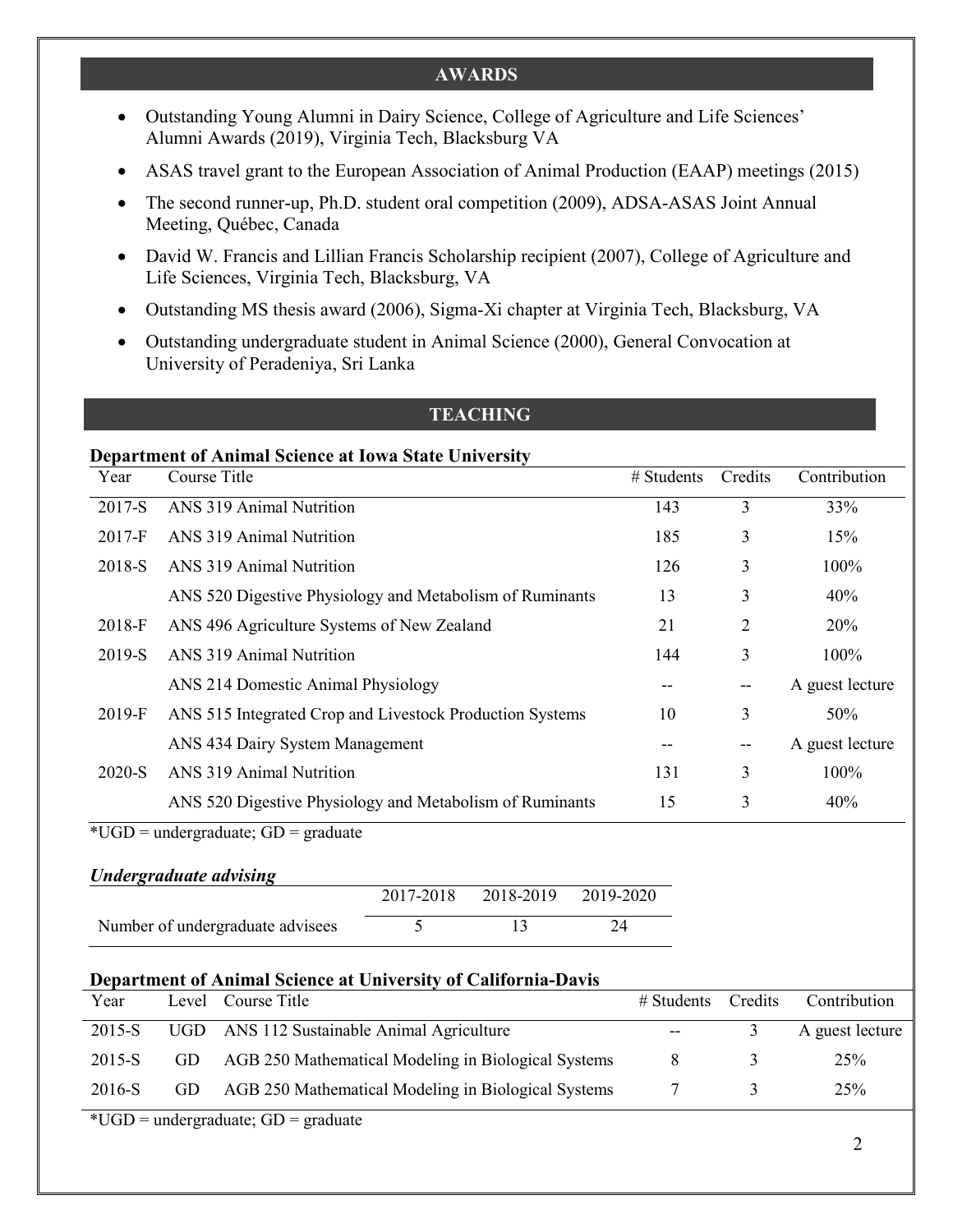#### **AWARDS**

- Outstanding Young Alumni in Dairy Science, College of Agriculture and Life Sciences' Alumni Awards (2019), Virginia Tech, Blacksburg VA
- ASAS travel grant to the European Association of Animal Production (EAAP) meetings (2015)
- The second runner-up, Ph.D. student oral competition (2009), ADSA-ASAS Joint Annual Meeting, Québec, Canada
- David W. Francis and Lillian Francis Scholarship recipient (2007), College of Agriculture and Life Sciences, Virginia Tech, Blacksburg, VA
- Outstanding MS thesis award (2006), Sigma-Xi chapter at Virginia Tech, Blacksburg, VA
- Outstanding undergraduate student in Animal Science (2000), General Convocation at University of Peradeniya, Sri Lanka

#### **TEACHING**

#### **Department of Animal Science at Iowa State University**

| Year     | Course Title                                             | $#$ Students | Credits | Contribution    |
|----------|----------------------------------------------------------|--------------|---------|-----------------|
| 2017-S   | ANS 319 Animal Nutrition                                 | 143          | 3       | 33%             |
| $2017-F$ | ANS 319 Animal Nutrition                                 | 185          | 3       | 15%             |
| 2018-S   | ANS 319 Animal Nutrition                                 | 126          | 3       | 100%            |
|          | ANS 520 Digestive Physiology and Metabolism of Ruminants | 13           | 3       | 40%             |
| 2018-F   | ANS 496 Agriculture Systems of New Zealand               | 21           | 2       | 20%             |
| 2019-S   | ANS 319 Animal Nutrition                                 | 144          | 3       | 100%            |
|          | ANS 214 Domestic Animal Physiology                       |              | --      | A guest lecture |
| 2019-F   | ANS 515 Integrated Crop and Livestock Production Systems | 10           | 3       | 50%             |
|          | ANS 434 Dairy System Management                          |              | $- -$   | A guest lecture |
| 2020-S   | ANS 319 Animal Nutrition                                 | 131          | 3       | 100%            |
|          | ANS 520 Digestive Physiology and Metabolism of Ruminants | 15           | 3       | 40%             |

 $*UGD =$  undergraduate;  $GD =$  graduate

#### *Undergraduate advising*

|                                  | 2017-2018 2018-2019 2019-2020 |  |
|----------------------------------|-------------------------------|--|
| Number of undergraduate advisees |                               |  |

#### **Department of Animal Science at University of California-Davis**

| Year        |       | Level Course Title                                  | $\#$ Students | Credits | Contribution    |
|-------------|-------|-----------------------------------------------------|---------------|---------|-----------------|
| 2015-S      | UGD - | ANS 112 Sustainable Animal Agriculture              | $- -$         |         | A guest lecture |
| 2015-S      | GD    | AGB 250 Mathematical Modeling in Biological Systems |               |         | 25%             |
| 2016-S      | GD    | AGB 250 Mathematical Modeling in Biological Systems |               |         | 25%             |
| $+T$ $\sim$ |       | $\sim$ $\sim$                                       |               |         |                 |

 $*UGD =$  undergraduate;  $GD =$  graduate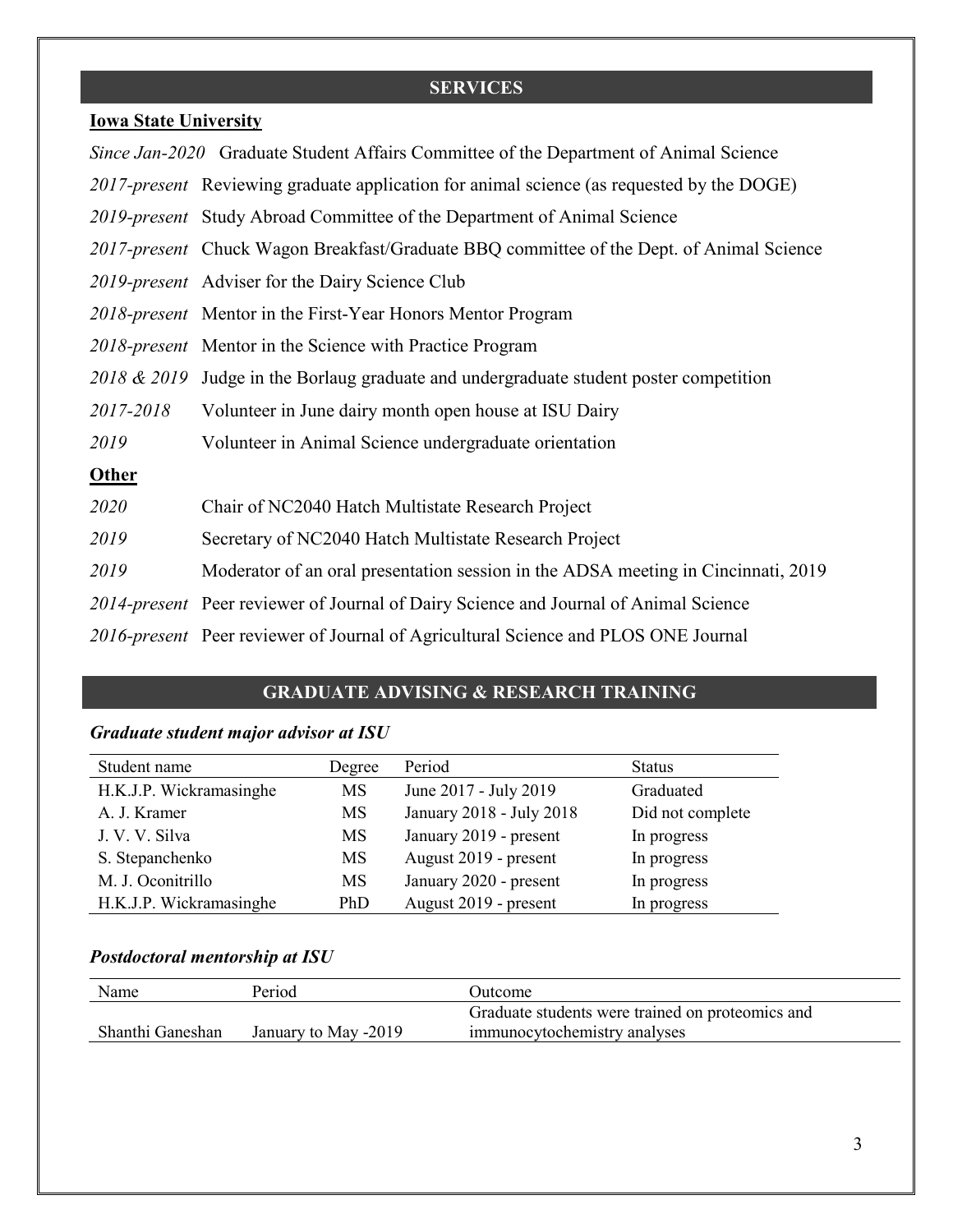# **SERVICES**

## **Iowa State University**

|              | Since Jan-2020 Graduate Student Affairs Committee of the Department of Animal Science     |
|--------------|-------------------------------------------------------------------------------------------|
|              | 2017-present Reviewing graduate application for animal science (as requested by the DOGE) |
|              | 2019-present Study Abroad Committee of the Department of Animal Science                   |
|              | 2017-present Chuck Wagon Breakfast/Graduate BBQ committee of the Dept. of Animal Science  |
|              | 2019-present Adviser for the Dairy Science Club                                           |
|              | 2018-present Mentor in the First-Year Honors Mentor Program                               |
|              | 2018-present Mentor in the Science with Practice Program                                  |
|              | 2018 & 2019 Judge in the Borlaug graduate and undergraduate student poster competition    |
| 2017-2018    | Volunteer in June dairy month open house at ISU Dairy                                     |
| 2019         | Volunteer in Animal Science undergraduate orientation                                     |
| <b>Other</b> |                                                                                           |
| 2020         | Chair of NC2040 Hatch Multistate Research Project                                         |
| 2019         | Secretary of NC2040 Hatch Multistate Research Project                                     |
| 2019         | Moderator of an oral presentation session in the ADSA meeting in Cincinnati, 2019         |
|              | 2014-present Peer reviewer of Journal of Dairy Science and Journal of Animal Science      |
|              | 2016-present Peer reviewer of Journal of Agricultural Science and PLOS ONE Journal        |

### **GRADUATE ADVISING & RESEARCH TRAINING**

# *Graduate student major advisor at ISU*

| Student name            | Degree | Period                   | <b>Status</b>    |
|-------------------------|--------|--------------------------|------------------|
| H.K.J.P. Wickramasinghe | MS     | June 2017 - July 2019    | Graduated        |
| A. J. Kramer            | MS     | January 2018 - July 2018 | Did not complete |
| J. V. V. Silva          | MS     | January 2019 - present   | In progress      |
| S. Stepanchenko         | MS     | August 2019 - present    | In progress      |
| M. J. Oconitrillo       | MS     | January 2020 - present   | In progress      |
| H.K.J.P. Wickramasinghe | PhD    | August 2019 - present    | In progress      |

## *Postdoctoral mentorship at ISU*

| Name             | Period               | Dutcome)                                         |
|------------------|----------------------|--------------------------------------------------|
|                  |                      | Graduate students were trained on proteomics and |
| Shanthi Ganeshan | January to May -2019 | immunocytochemistry analyses                     |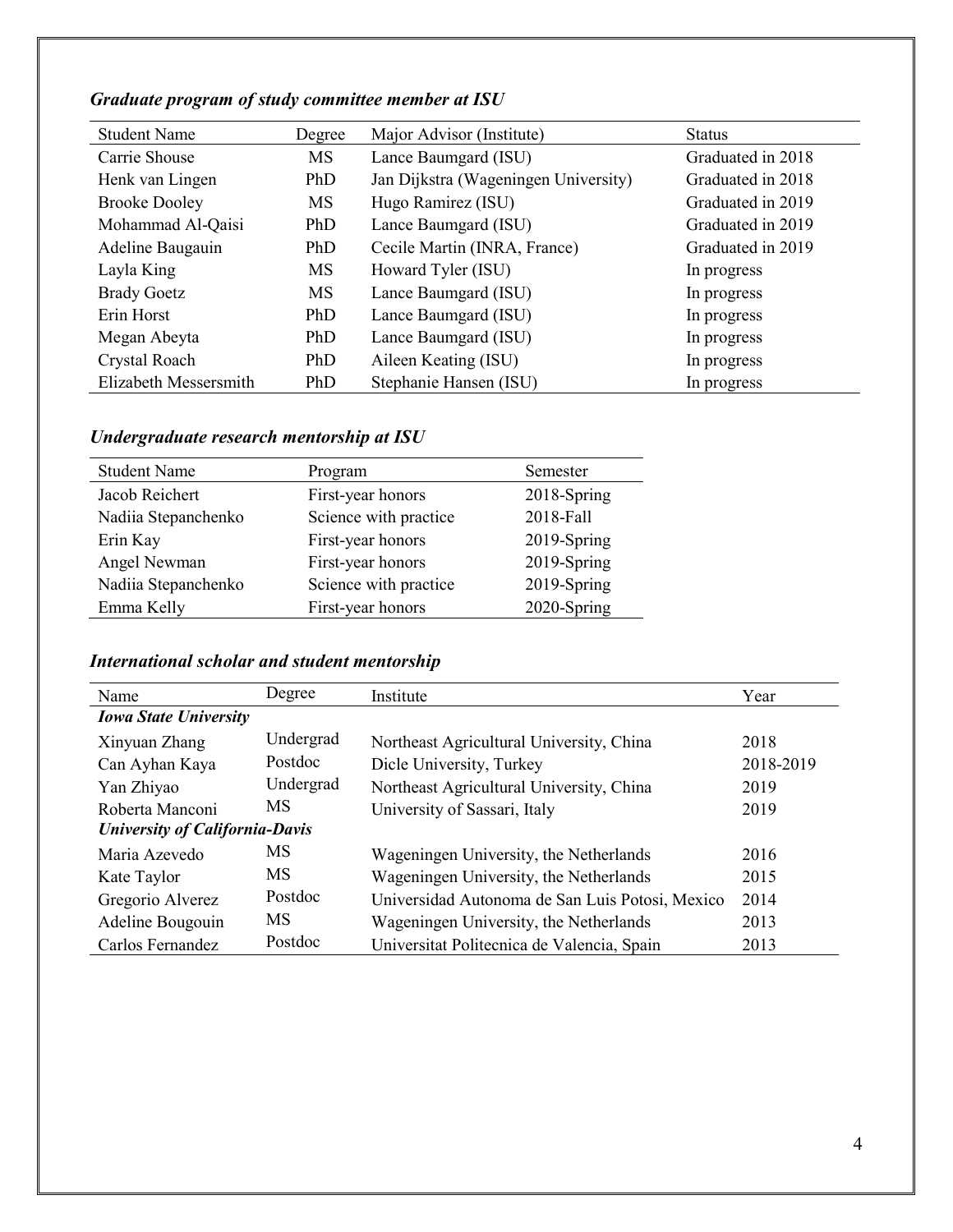# *Graduate program of study committee member at ISU*

| <b>Student Name</b>   | Degree | Major Advisor (Institute)            | <b>Status</b>     |
|-----------------------|--------|--------------------------------------|-------------------|
| Carrie Shouse         | MS     | Lance Baumgard (ISU)                 | Graduated in 2018 |
| Henk van Lingen       | PhD    | Jan Dijkstra (Wageningen University) | Graduated in 2018 |
| <b>Brooke Dooley</b>  | MS     | Hugo Ramirez (ISU)                   | Graduated in 2019 |
| Mohammad Al-Qaisi     | PhD    | Lance Baumgard (ISU)                 | Graduated in 2019 |
| Adeline Baugauin      | PhD    | Cecile Martin (INRA, France)         | Graduated in 2019 |
| Layla King            | MS     | Howard Tyler (ISU)                   | In progress       |
| <b>Brady Goetz</b>    | MS     | Lance Baumgard (ISU)                 | In progress       |
| Erin Horst            | PhD    | Lance Baumgard (ISU)                 | In progress       |
| Megan Abeyta          | PhD    | Lance Baumgard (ISU)                 | In progress       |
| Crystal Roach         | PhD    | Aileen Keating (ISU)                 | In progress       |
| Elizabeth Messersmith | PhD    | Stephanie Hansen (ISU)               | In progress       |

*Undergraduate research mentorship at ISU*

| <b>Student Name</b> | Program               | Semester    |
|---------------------|-----------------------|-------------|
| Jacob Reichert      | First-year honors     | 2018-Spring |
| Nadiia Stepanchenko | Science with practice | 2018-Fall   |
| Erin Kay            | First-year honors     | 2019-Spring |
| Angel Newman        | First-year honors     | 2019-Spring |
| Nadiia Stepanchenko | Science with practice | 2019-Spring |
| Emma Kelly          | First-year honors     | 2020-Spring |
|                     |                       |             |

*International scholar and student mentorship*

| Name                                  | Degree    | Institute                                       | Year      |
|---------------------------------------|-----------|-------------------------------------------------|-----------|
| <b>Iowa State University</b>          |           |                                                 |           |
| Xinyuan Zhang                         | Undergrad | Northeast Agricultural University, China        | 2018      |
| Can Ayhan Kaya                        | Postdoc   | Dicle University, Turkey                        | 2018-2019 |
| Yan Zhiyao                            | Undergrad | Northeast Agricultural University, China        | 2019      |
| Roberta Manconi                       | MS        | University of Sassari, Italy                    | 2019      |
| <b>University of California-Davis</b> |           |                                                 |           |
| Maria Azevedo                         | MS        | Wageningen University, the Netherlands          | 2016      |
| Kate Taylor                           | MS        | Wageningen University, the Netherlands          | 2015      |
| Gregorio Alverez                      | Postdoc   | Universidad Autonoma de San Luis Potosi, Mexico | 2014      |
| Adeline Bougouin                      | MS        | Wageningen University, the Netherlands          | 2013      |
| Carlos Fernandez                      | Postdoc   | Universitat Politecnica de Valencia, Spain      | 2013      |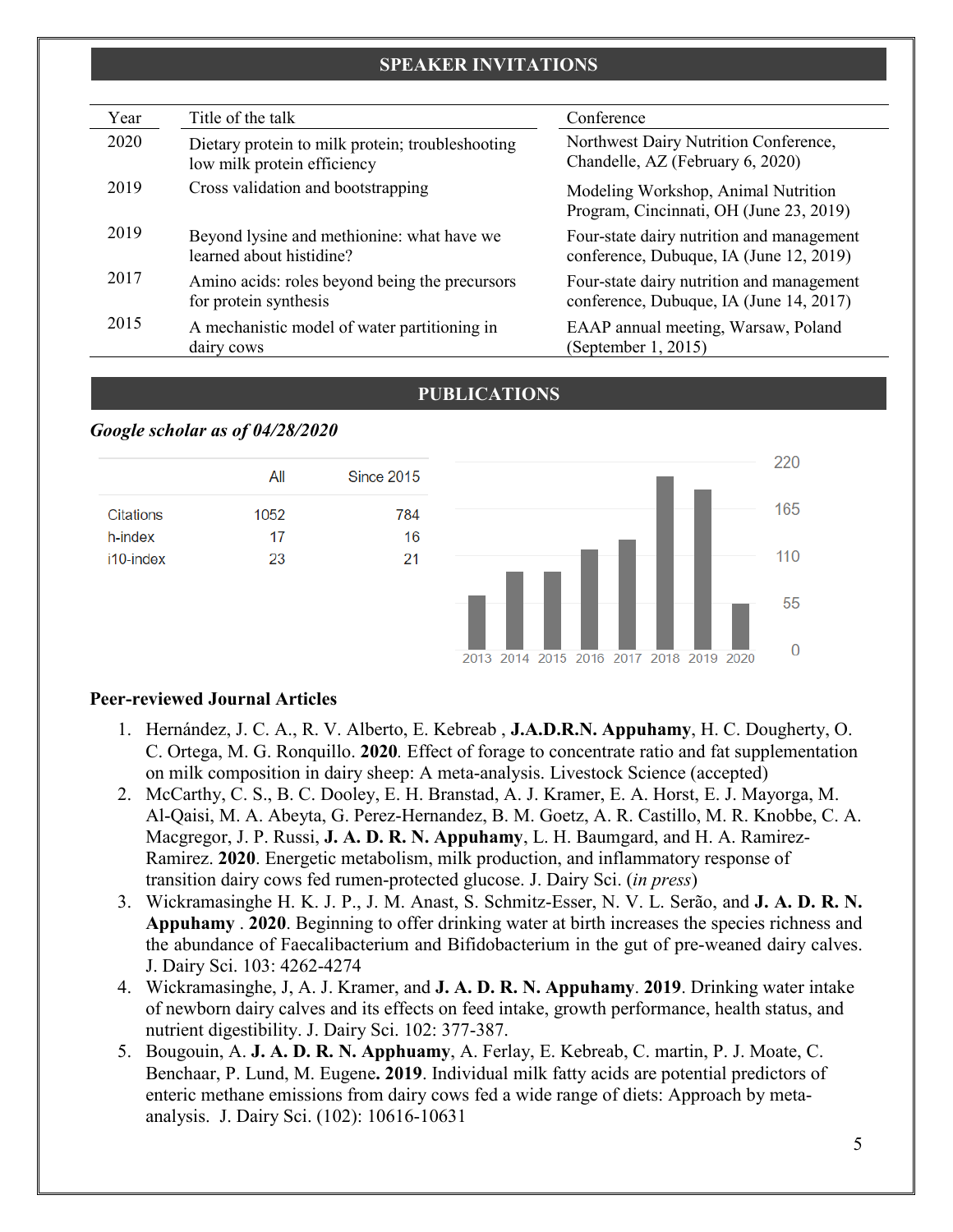#### **SPEAKER INVITATIONS**

| Year | Title of the talk                                                               | Conference                                                                           |
|------|---------------------------------------------------------------------------------|--------------------------------------------------------------------------------------|
| 2020 | Dietary protein to milk protein; troubleshooting<br>low milk protein efficiency | Northwest Dairy Nutrition Conference,<br>Chandelle, AZ (February 6, 2020)            |
| 2019 | Cross validation and bootstrapping                                              | Modeling Workshop, Animal Nutrition<br>Program, Cincinnati, OH (June 23, 2019)       |
| 2019 | Beyond lysine and methionine: what have we<br>learned about histidine?          | Four-state dairy nutrition and management<br>conference, Dubuque, IA (June 12, 2019) |
| 2017 | Amino acids: roles beyond being the precursors<br>for protein synthesis         | Four-state dairy nutrition and management<br>conference, Dubuque, IA (June 14, 2017) |
| 2015 | A mechanistic model of water partitioning in<br>dairy cows                      | EAAP annual meeting, Warsaw, Poland<br>(September 1, 2015)                           |

#### **PUBLICATIONS**

#### *Google scholar as of 04/28/2020*



#### **Peer-reviewed Journal Articles**

- 1. Hernández, J. C. A., R. V. Alberto, E. Kebreab , **J.A.D.R.N. Appuhamy**, H. C. Dougherty, O. C. Ortega, M. G. Ronquillo. **2020***.* Effect of forage to concentrate ratio and fat supplementation on milk composition in dairy sheep: A meta-analysis. Livestock Science (accepted)
- 2. McCarthy, C. S., B. C. Dooley, E. H. Branstad, A. J. Kramer, E. A. Horst, E. J. Mayorga, M. Al-Qaisi, M. A. Abeyta, G. Perez-Hernandez, B. M. Goetz, A. R. Castillo, M. R. Knobbe, C. A. Macgregor, J. P. Russi, **J. A. D. R. N. Appuhamy**, L. H. Baumgard, and H. A. Ramirez-Ramirez. **2020**. Energetic metabolism, milk production, and inflammatory response of transition dairy cows fed rumen-protected glucose. J. Dairy Sci. (*in press*)
- 3. Wickramasinghe H. K. J. P., J. M. Anast, S. Schmitz-Esser, N. V. L. Serão, and **J. A. D. R. N. Appuhamy** . **2020**. Beginning to offer drinking water at birth increases the species richness and the abundance of Faecalibacterium and Bifidobacterium in the gut of pre-weaned dairy calves. J. Dairy Sci. 103: 4262-4274
- 4. Wickramasinghe, J, A. J. Kramer, and **J. A. D. R. N. Appuhamy**. **2019**. Drinking water intake of newborn dairy calves and its effects on feed intake, growth performance, health status, and nutrient digestibility. J. Dairy Sci. 102: 377-387.
- 5. Bougouin, A. **J. A. D. R. N. Apphuamy**, A. Ferlay, E. Kebreab, C. martin, P. J. Moate, C. Benchaar, P. Lund, M. Eugene**. 2019**. Individual milk fatty acids are potential predictors of enteric methane emissions from dairy cows fed a wide range of diets: Approach by metaanalysis. J. Dairy Sci. (102): 10616-10631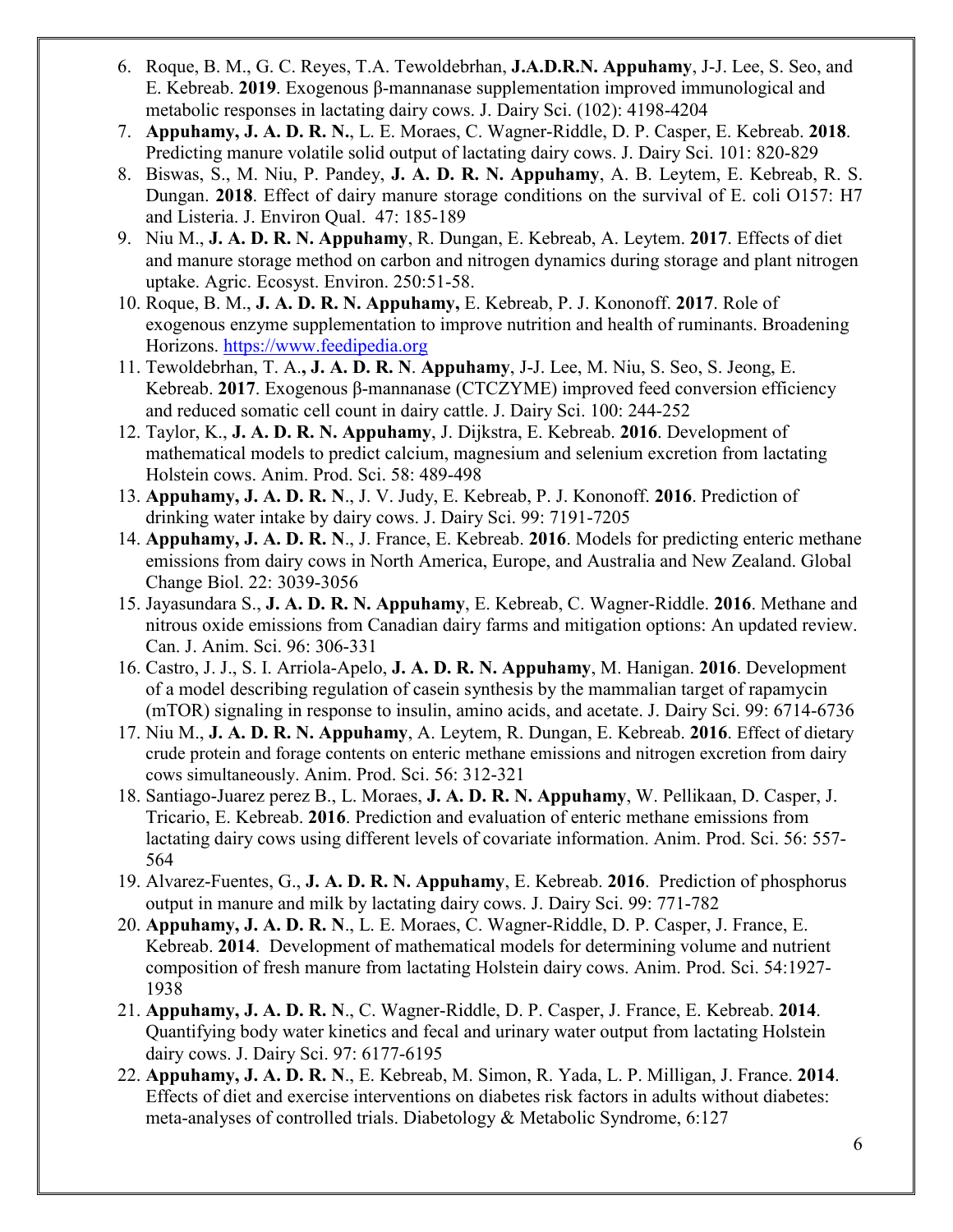- 6. Roque, B. M., G. C. Reyes, T.A. Tewoldebrhan, **J.A.D.R.N. Appuhamy**, J-J. Lee, S. Seo, and E. Kebreab. **2019**. Exogenous β-mannanase supplementation improved immunological and metabolic responses in lactating dairy cows. J. Dairy Sci. (102): 4198-4204
- 7. **Appuhamy, J. A. D. R. N.**, L. E. Moraes, C. Wagner-Riddle, D. P. Casper, E. Kebreab. **2018**. Predicting manure volatile solid output of lactating dairy cows. J. Dairy Sci. 101: 820-829
- 8. Biswas, S., M. Niu, P. Pandey, **J. A. D. R. N. Appuhamy**, A. B. Leytem, E. Kebreab, R. S. Dungan. **2018**. Effect of dairy manure storage conditions on the survival of E. coli O157: H7 and Listeria. J. Environ Qual. 47: 185-189
- 9. Niu M., **J. A. D. R. N. Appuhamy**, R. Dungan, E. Kebreab, A. Leytem. **2017**. Effects of diet and manure storage method on carbon and nitrogen dynamics during storage and plant nitrogen uptake. Agric. Ecosyst. Environ. 250:51-58.
- 10. Roque, B. M., **J. A. D. R. N. Appuhamy,** E. Kebreab, P. J. Kononoff. **2017**. [Role](https://www.researchgate.net/publication/318967324_Role_of_exogenous_enzyme_supplementation_to_improve_nutrition_and_health_of_ruminants?_iepl%5BviewId%5D=zTzLg4PROdbDqkUxAvKcSDnw&_iepl%5BprofilePublicationItemVariant%5D=default&_iepl%5Bcontexts%5D%5B0%5D=prfpi&_iepl%5BtargetEntityId%5D=PB%3A318967324&_iepl%5BinteractionType%5D=publicationTitle) of exogenous enzyme [supplementation](https://www.researchgate.net/publication/318967324_Role_of_exogenous_enzyme_supplementation_to_improve_nutrition_and_health_of_ruminants?_iepl%5BviewId%5D=zTzLg4PROdbDqkUxAvKcSDnw&_iepl%5BprofilePublicationItemVariant%5D=default&_iepl%5Bcontexts%5D%5B0%5D=prfpi&_iepl%5BtargetEntityId%5D=PB%3A318967324&_iepl%5BinteractionType%5D=publicationTitle) to improve nutrition and health of ruminants. Broadening Horizons. [https://www.feedipedia.org](https://www.feedipedia.org/)
- 11. Tewoldebrhan, T. A.**, J. A. D. R. N**. **Appuhamy**, J-J. Lee, M. Niu, S. Seo, S. Jeong, E. Kebreab. **2017**. Exogenous β-mannanase (CTCZYME) improved feed conversion efficiency and reduced somatic cell count in dairy cattle. J. Dairy Sci. 100: 244-252
- 12. Taylor, K., **J. A. D. R. N. [Appuhamy](http://www.ncbi.nlm.nih.gov/pubmed?term=Appuhamy%20JA%5BAuthor%5D&cauthor=true&cauthor_uid=24902701)**, J. [Dijkstra, E. Kebreab.](http://www.ncbi.nlm.nih.gov/pubmed?term=Dijkstra%20J%5BAuthor%5D&cauthor=true&cauthor_uid=24902701) **2016**. Development of mathematical models to predict calcium, magnesium and selenium excretion from lactating Holstein cows. Anim. Prod. Sci. 58: 489-498
- 13. **Appuhamy, J. A. D. R. N**., J. V. Judy, E. Kebreab, P. J. Kononoff. **2016**. Prediction of drinking water intake by dairy cows. J. Dairy Sci. 99: 7191-7205
- 14. **Appuhamy, J. A. D. R. N**., J. France, E. Kebreab. **2016**. Models for predicting enteric methane emissions from dairy cows in North America, Europe, and Australia and New Zealand. Global Change Biol. 22: 3039-3056
- 15. Jayasundara S., **J. A. D. R. N. Appuhamy**, E. Kebreab, C. Wagner-Riddle. **2016**. Methane and nitrous oxide emissions from Canadian dairy farms and mitigation options: An updated review. Can. J. Anim. Sci. 96: 306-331
- 16. Castro, J. J., S. I. Arriola-Apelo, **J. A. D. R. N. Appuhamy**, M. Hanigan. **2016**. Development of a model describing regulation of casein synthesis by the mammalian target of rapamycin (mTOR) signaling in response to insulin, amino acids, and acetate. J. Dairy Sci. 99: 6714-6736
- 17. Niu M., **J. A. D. R. N. Appuhamy**, A. Leytem, R. Dungan, E. Kebreab. **2016**. Effect of dietary crude protein and forage contents on enteric methane emissions and nitrogen excretion from dairy cows simultaneously. Anim. Prod. Sci. 56: 312-321
- 18. Santiago-Juarez perez B., L. Moraes, **J. A. D. R. N. Appuhamy**, W. Pellikaan, D. Casper, J. Tricario, E. Kebreab. **2016**. Prediction and evaluation of enteric methane emissions from lactating dairy cows using different levels of covariate information. Anim. Prod. Sci. 56: 557- 564
- 19. Alvarez-Fuentes, G., **J. A. D. R. N. [Appuhamy](http://www.ncbi.nlm.nih.gov/pubmed?term=Appuhamy%20JA%5BAuthor%5D&cauthor=true&cauthor_uid=24902701)**, E. [Kebreab.](http://www.ncbi.nlm.nih.gov/pubmed?term=Kebreab%20E%5BAuthor%5D&cauthor=true&cauthor_uid=24902701) **2016**. Prediction of phosphorus output in manure and milk by lactating dairy cows. J. Dairy Sci. 99: 771-782
- 20. **Appuhamy, J. A. D. R. N**., L. E. Moraes, C. Wagner-Riddle, D. P. Casper, J. France, E. Kebreab. **2014**. Development of mathematical models for determining volume and nutrient composition of fresh manure from lactating Holstein dairy cows. Anim. Prod. Sci. 54:1927- 1938
- 21. **Appuhamy, J. A. D. R. N**., C. Wagner-Riddle, D. P. Casper, J. France, E. Kebreab. **2014**. Quantifying body water kinetics and fecal and urinary water output from lactating Holstein dairy cows. J. Dairy Sci. 97: 6177-6195
- 22. **Appuhamy, J. A. D. R. N**., E. Kebreab, M. Simon, R. Yada, L. P. Milligan, J. France. **2014**. Effects of diet and exercise interventions on diabetes risk factors in adults without diabetes: meta-analyses of controlled trials. Diabetology & Metabolic Syndrome, 6:127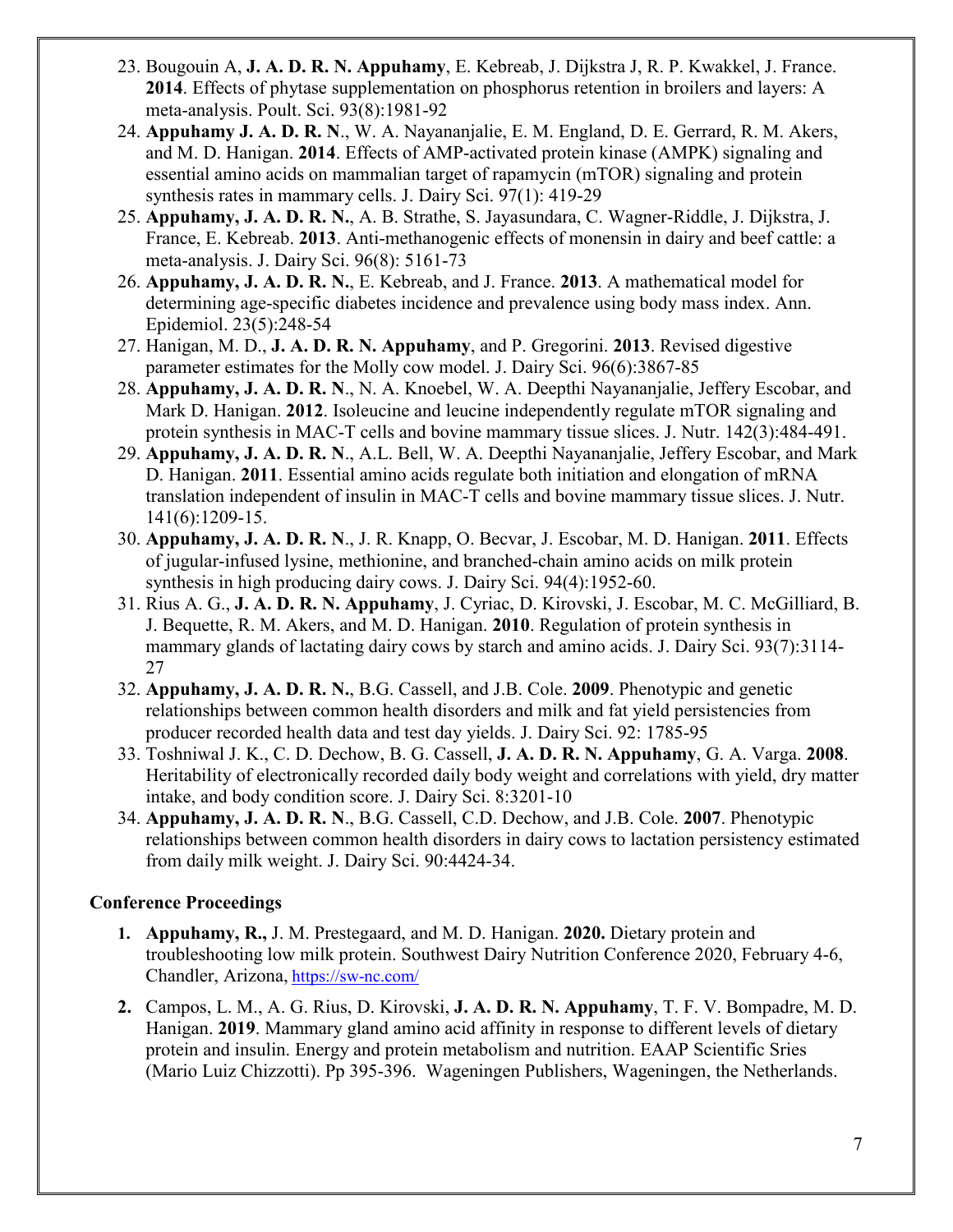- 23. [Bougouin A,](http://www.ncbi.nlm.nih.gov/pubmed?term=Bougouin%20A%5BAuthor%5D&cauthor=true&cauthor_uid=24902701) **J. A. D. R. N. [Appuhamy](http://www.ncbi.nlm.nih.gov/pubmed?term=Appuhamy%20JA%5BAuthor%5D&cauthor=true&cauthor_uid=24902701)**, E. [Kebreab,](http://www.ncbi.nlm.nih.gov/pubmed?term=Kebreab%20E%5BAuthor%5D&cauthor=true&cauthor_uid=24902701) J. [Dijkstra J,](http://www.ncbi.nlm.nih.gov/pubmed?term=Dijkstra%20J%5BAuthor%5D&cauthor=true&cauthor_uid=24902701) R. P. [Kwakkel,](http://www.ncbi.nlm.nih.gov/pubmed?term=Kwakkel%20RP%5BAuthor%5D&cauthor=true&cauthor_uid=24902701) J. [France.](http://www.ncbi.nlm.nih.gov/pubmed?term=France%20J%5BAuthor%5D&cauthor=true&cauthor_uid=24902701) **2014**. Effects of phytase supplementation on phosphorus retention in broilers and layers: A meta-analysis. Poult. Sci. 93(8):1981-92
- 24. **Appuhamy J. A. D. R. N**., W. A. Nayananjalie, E. M. England, D. E. Gerrard, R. M. Akers, and M. D. Hanigan. **2014**. Effects of AMP-activated protein kinase (AMPK) signaling and essential amino acids on mammalian target of rapamycin (mTOR) signaling and protein synthesis rates in mammary cells. J. Dairy Sci. 97(1): 419-29
- 25. **Appuhamy, J. A. D. R. N.**, A. B. Strathe, S. Jayasundara, C. Wagner-Riddle, J. Dijkstra, J. France, E. Kebreab. **2013**. [Anti-methanogenic effects of monensin in dairy and beef cattle: a](http://www.ncbi.nlm.nih.gov/pubmed/23769353)  [meta-analysis.](http://www.ncbi.nlm.nih.gov/pubmed/23769353) J. Dairy Sci. 96(8): 5161-73
- 26. **Appuhamy, J. A. D. R. N.**, E. Kebreab, and J. France. **2013**. [A mathematical model for](http://www.ncbi.nlm.nih.gov/pubmed/23608303)  determining age-specific diabetes [incidence and prevalence using body mass index.](http://www.ncbi.nlm.nih.gov/pubmed/23608303) Ann. Epidemiol. 23(5):248-54
- 27. Hanigan, M. D., **J. A. D. R. N. Appuhamy**, and P. Gregorini. **2013**. [Revised digestive](http://www.ncbi.nlm.nih.gov/pubmed/23587389)  [parameter estimates for the Molly cow model.](http://www.ncbi.nlm.nih.gov/pubmed/23587389) J. Dairy Sci. 96(6):3867-85
- 28. **Appuhamy, J. A. D. R. N**., N. A. Knoebel, W. A. Deepthi Nayananjalie, Jeffery Escobar, and Mark D. Hanigan. **2012**. Isoleucine and leucine independently regulate mTOR signaling and protein synthesis in MAC-T cells and bovine mammary tissue slices. J. Nutr. 142(3):484-491.
- 29. **Appuhamy, J. A. D. R. N**., A.L. Bell, W. A. Deepthi Nayananjalie, Jeffery Escobar, and Mark D. Hanigan. **2011**. Essential amino acids regulate both initiation and elongation of mRNA translation independent of insulin in MAC-T cells and bovine mammary tissue slices. J. Nutr. 141(6):1209-15.
- 30. **Appuhamy, J. A. D. R. N**., J. R. Knapp, O. Becvar, J. Escobar, M. D. Hanigan. **2011**. Effects of jugular-infused lysine, methionine, and branched-chain amino acids on milk protein synthesis in high producing dairy cows. J. Dairy Sci. 94(4):1952-60.
- 31. Rius A. G., **J. A. D. R. N. Appuhamy**, J. Cyriac, D. Kirovski, J. Escobar, M. C. McGilliard, B. J. Bequette, R. M. Akers, and M. D. Hanigan. **2010**. Regulation of protein synthesis in mammary glands of lactating dairy cows by starch and amino acids. J. Dairy Sci. 93(7):3114- 27
- 32. **Appuhamy, J. A. D. R. N.**, B.G. Cassell, and J.B. Cole. **2009**. Phenotypic and genetic relationships between common health disorders and milk and fat yield persistencies from producer recorded health data and test day yields. J. Dairy Sci. 92: 1785-95
- 33. [Toshniwal](http://lib.bioinfo.pl/auth:Toshniwal,JK) J. K., [C. D. Dechow,](http://lib.bioinfo.pl/auth:Dechow,CD) [B. G. Cassell,](http://lib.bioinfo.pl/auth:Cassell,BG) **[J. A. D. R. N. Appuhamy](http://lib.bioinfo.pl/auth:Appuhamy,JADRN)**, [G. A. Varga.](http://lib.bioinfo.pl/auth:Varga,GA) **2008**. [Heritability of electronically recorded daily body weight and correlations with yield, dry matter](http://lib.bioinfo.pl/pmid:18650298)  [intake, and body condition score.](http://lib.bioinfo.pl/pmid:18650298) J. Dairy Sci. 8:3201-10
- 34. **Appuhamy, J. A. D. R. N**., B.G. Cassell, C.D. Dechow, and J.B. Cole. **2007**. Phenotypic relationships between common health disorders in dairy cows to lactation persistency estimated from daily milk weight. J. Dairy Sci. 90:4424-34.

### **Conference Proceedings**

- **1. Appuhamy, R.,** J. M. Prestegaard, and M. D. Hanigan. **2020.** Dietary protein and troubleshooting low milk protein. Southwest Dairy Nutrition Conference 2020, February 4-6, Chandler, Arizona, <https://sw-nc.com/>
- **2.** Campos, L. M., A. G. Rius, D. Kirovski, **J. A. D. R. N. Appuhamy**, T. F. V. Bompadre, M. D. Hanigan. **2019**. Mammary gland amino acid affinity in response to different levels of dietary protein and insulin. Energy and protein metabolism and nutrition. EAAP Scientific Sries (Mario Luiz Chizzotti). Pp 395-396. Wageningen Publishers, Wageningen, the Netherlands.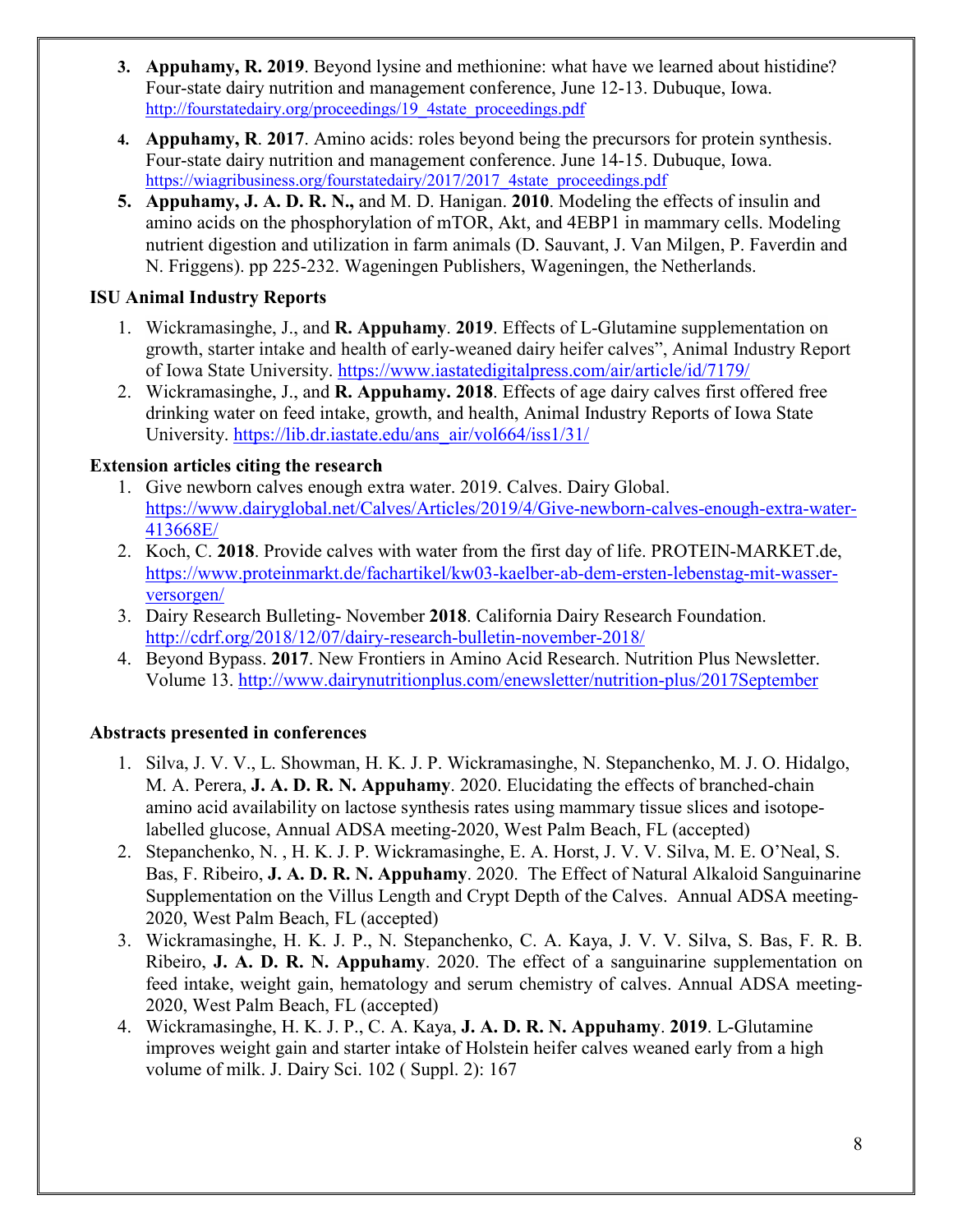- **3. Appuhamy, R. 2019**. Beyond lysine and methionine: what have we learned about histidine? Four-state dairy nutrition and management conference, June 12-13. Dubuque, Iowa. [http://fourstatedairy.org/proceedings/19\\_4state\\_proceedings.pdf](http://fourstatedairy.org/proceedings/19_4state_proceedings.pdf)
- **4. Appuhamy, R**. **2017**. Amino acids: roles beyond being the precursors for protein synthesis. Four-state dairy nutrition and management conference. June 14-15. Dubuque, Iowa. [https://wiagribusiness.org/fourstatedairy/2017/2017\\_4state\\_proceedings.pdf](https://wiagribusiness.org/fourstatedairy/2017/2017_4state_proceedings.pdf)
- **5. Appuhamy, J. A. D. R. N.,** and M. D. Hanigan. **2010**. Modeling the effects of insulin and amino acids on the phosphorylation of mTOR, Akt, and 4EBP1 in mammary cells. Modeling nutrient digestion and utilization in farm animals (D. Sauvant, J. Van Milgen, P. Faverdin and N. Friggens). pp 225-232. Wageningen Publishers, Wageningen, the Netherlands.

## **ISU Animal Industry Reports**

- 1. Wickramasinghe, J., and **R. Appuhamy**. **2019**. Effects of L-Glutamine supplementation on growth, starter intake and health of early-weaned dairy heifer calves", Animal Industry Report of Iowa State University.<https://www.iastatedigitalpress.com/air/article/id/7179/>
- 2. Wickramasinghe, J., and **R. [Appuhamy.](http://www.ncbi.nlm.nih.gov/pubmed?term=Appuhamy%20JA%5BAuthor%5D&cauthor=true&cauthor_uid=24902701) 2018**. Effects of age dairy calves first offered free drinking water on feed intake, growth, and health, Animal Industry Reports of Iowa State University. [https://lib.dr.iastate.edu/ans\\_air/vol664/iss1/31/](https://lib.dr.iastate.edu/ans_air/vol664/iss1/31/)

### **Extension articles citing the research**

- 1. Give newborn calves enough extra water. 2019. Calves. Dairy Global. [https://www.dairyglobal.net/Calves/Articles/2019/4/Give-newborn-calves-enough-extra-water-](https://www.dairyglobal.net/Calves/Articles/2019/4/Give-newborn-calves-enough-extra-water-413668E/)[413668E/](https://www.dairyglobal.net/Calves/Articles/2019/4/Give-newborn-calves-enough-extra-water-413668E/)
- 2. Koch, C. **2018**. Provide calves with water from the first day of life. PROTEIN-MARKET.de, [https://www.proteinmarkt.de/fachartikel/kw03-kaelber-ab-dem-ersten-lebenstag-mit-wasser](https://www.proteinmarkt.de/fachartikel/kw03-kaelber-ab-dem-ersten-lebenstag-mit-wasser-versorgen/)[versorgen/](https://www.proteinmarkt.de/fachartikel/kw03-kaelber-ab-dem-ersten-lebenstag-mit-wasser-versorgen/)
- 3. Dairy Research Bulleting- November **2018**. California Dairy Research Foundation. <http://cdrf.org/2018/12/07/dairy-research-bulletin-november-2018/>
- 4. Beyond Bypass. **2017**. New Frontiers in Amino Acid Research. Nutrition Plus Newsletter. Volume 13. http://www.dairynutritionplus.com/enewsletter/nutrition-plus/2017September

# **Abstracts presented in conferences**

- 1. Silva, J. V. V., L. Showman, H. K. J. P. Wickramasinghe, N. Stepanchenko, M. J. O. Hidalgo, M. A. Perera, **J. A. D. R. N. Appuhamy**. 2020. Elucidating the effects of branched-chain amino acid availability on lactose synthesis rates using mammary tissue slices and isotopelabelled glucose, Annual ADSA meeting-2020, West Palm Beach, FL (accepted)
- 2. Stepanchenko, N. , H. K. J. P. Wickramasinghe, E. A. Horst, J. V. V. Silva, M. E. O'Neal, S. Bas, F. Ribeiro, **J. A. D. R. N. Appuhamy**. 2020. The Effect of Natural Alkaloid Sanguinarine Supplementation on the Villus Length and Crypt Depth of the Calves. Annual ADSA meeting-2020, West Palm Beach, FL (accepted)
- 3. Wickramasinghe, H. K. J. P., N. Stepanchenko, C. A. Kaya, J. V. V. Silva, S. Bas, F. R. B. Ribeiro, **J. A. D. R. N. Appuhamy**. 2020. The effect of a sanguinarine supplementation on feed intake, weight gain, hematology and serum chemistry of calves. Annual ADSA meeting-2020, West Palm Beach, FL (accepted)
- 4. Wickramasinghe, H. K. J. P., C. A. Kaya, **J. A. D. R. N. Appuhamy**. **2019**. L-Glutamine improves weight gain and starter intake of Holstein heifer calves weaned early from a high volume of milk. J. Dairy Sci. 102 ( Suppl. 2): 167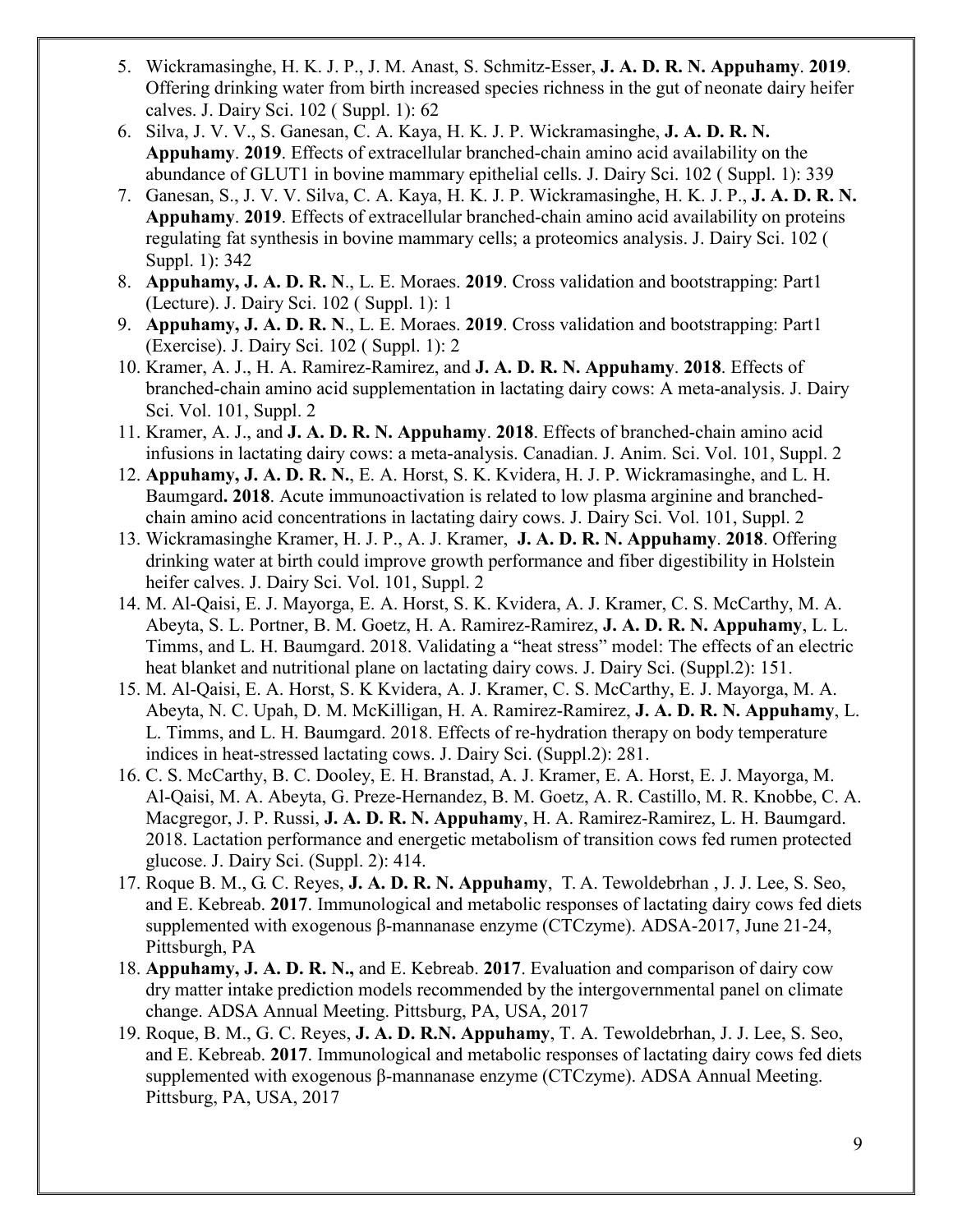- 5. Wickramasinghe, H. K. J. P., J. M. Anast, S. Schmitz-Esser, **J. A. D. R. N. Appuhamy**. **2019**. Offering drinking water from birth increased species richness in the gut of neonate dairy heifer calves. J. Dairy Sci. 102 ( Suppl. 1): 62
- 6. Silva, J. V. V., S. Ganesan, C. A. Kaya, H. K. J. P. Wickramasinghe, **J. A. D. R. N. Appuhamy**. **2019**. Effects of extracellular branched-chain amino acid availability on the abundance of GLUT1 in bovine mammary epithelial cells. J. Dairy Sci. 102 ( Suppl. 1): 339
- 7. Ganesan, S., J. V. V. Silva, C. A. Kaya, H. K. J. P. Wickramasinghe, H. K. J. P., **J. A. D. R. N. Appuhamy**. **2019**. Effects of extracellular branched-chain amino acid availability on proteins regulating fat synthesis in bovine mammary cells; a proteomics analysis. J. Dairy Sci. 102 ( Suppl. 1): 342
- 8. **Appuhamy, J. A. D. R. N**., L. E. Moraes. **2019**. Cross validation and bootstrapping: Part1 (Lecture). J. Dairy Sci. 102 ( Suppl. 1): 1
- 9. **Appuhamy, J. A. D. R. N**., L. E. Moraes. **2019**. Cross validation and bootstrapping: Part1 (Exercise). J. Dairy Sci. 102 ( Suppl. 1): 2
- 10. Kramer, A. J., H. A. Ramirez-Ramirez, and **J. A. D. R. N. Appuhamy**. **2018**. Effects of branched-chain amino acid supplementation in lactating dairy cows: A meta-analysis. J. Dairy Sci. Vol. 101, Suppl. 2
- 11. Kramer, A. J., and **J. A. D. R. N. Appuhamy**. **2018**. Effects of branched-chain amino acid infusions in lactating dairy cows: a meta-analysis. Canadian. J. Anim. Sci. Vol. 101, Suppl. 2
- 12. **Appuhamy, J. A. D. R. N.**, E. A. Horst, S. K. Kvidera, H. J. P. Wickramasinghe, and L. H. Baumgard**. 2018**. Acute immunoactivation is related to low plasma arginine and branchedchain amino acid concentrations in lactating dairy cows. J. Dairy Sci. Vol. 101, Suppl. 2
- 13. Wickramasinghe Kramer, H. J. P., A. J. Kramer, **J. A. D. R. N. Appuhamy**. **2018**. Offering drinking water at birth could improve growth performance and fiber digestibility in Holstein heifer calves. J. Dairy Sci. Vol. 101, Suppl. 2
- 14. M. Al-Qaisi, E. J. Mayorga, E. A. Horst, S. K. Kvidera, A. J. Kramer, C. S. McCarthy, M. A. Abeyta, S. L. Portner, B. M. Goetz, H. A. Ramirez-Ramirez, **J. A. D. R. N. Appuhamy**, L. L. Timms, and L. H. Baumgard. 2018. Validating a "heat stress" model: The effects of an electric heat blanket and nutritional plane on lactating dairy cows. J. Dairy Sci. (Suppl.2): 151.
- 15. M. Al-Qaisi, E. A. Horst, S. K Kvidera, A. J. Kramer, C. S. McCarthy, E. J. Mayorga, M. A. Abeyta, N. C. Upah, D. M. McKilligan, H. A. Ramirez-Ramirez, **J. A. D. R. N. Appuhamy**, L. L. Timms, and L. H. Baumgard. 2018. Effects of re-hydration therapy on body temperature indices in heat-stressed lactating cows. J. Dairy Sci. (Suppl.2): 281.
- 16. C. S. McCarthy, B. C. Dooley, E. H. Branstad, A. J. Kramer, E. A. Horst, E. J. Mayorga, M. Al-Qaisi, M. A. Abeyta, G. Preze-Hernandez, B. M. Goetz, A. R. Castillo, M. R. Knobbe, C. A. Macgregor, J. P. Russi, **J. A. D. R. N. Appuhamy**, H. A. Ramirez-Ramirez, L. H. Baumgard. 2018. Lactation performance and energetic metabolism of transition cows fed rumen protected glucose. J. Dairy Sci. (Suppl. 2): 414.
- 17. Roque B. M., G. C. Reyes, **J. A. D. R. N. [Appuhamy](http://www.ncbi.nlm.nih.gov/pubmed?term=Appuhamy%20JA%5BAuthor%5D&cauthor=true&cauthor_uid=24902701)**, T. A. Tewoldebrhan , J. J. Lee, S. Seo, and E. Kebreab. **2017**. Immunological and metabolic responses of lactating dairy cows fed diets supplemented with exogenous β-mannanase enzyme (CTCzyme). ADSA-2017, June 21-24, Pittsburgh, PA
- 18. **Appuhamy, J. A. D. R. N.,** and E. Kebreab. **2017**. Evaluation and comparison of dairy cow dry matter intake prediction models recommended by the intergovernmental panel on climate change. ADSA Annual Meeting. Pittsburg, PA, USA, 2017
- 19. Roque, B. M., G. C. Reyes, **J. A. D. R.N. Appuhamy**, T. A. Tewoldebrhan, J. J. Lee, S. Seo, and E. Kebreab. **2017**. Immunological and metabolic responses of lactating dairy cows fed diets supplemented with exogenous β-mannanase enzyme (CTCzyme). ADSA Annual Meeting. Pittsburg, PA, USA, 2017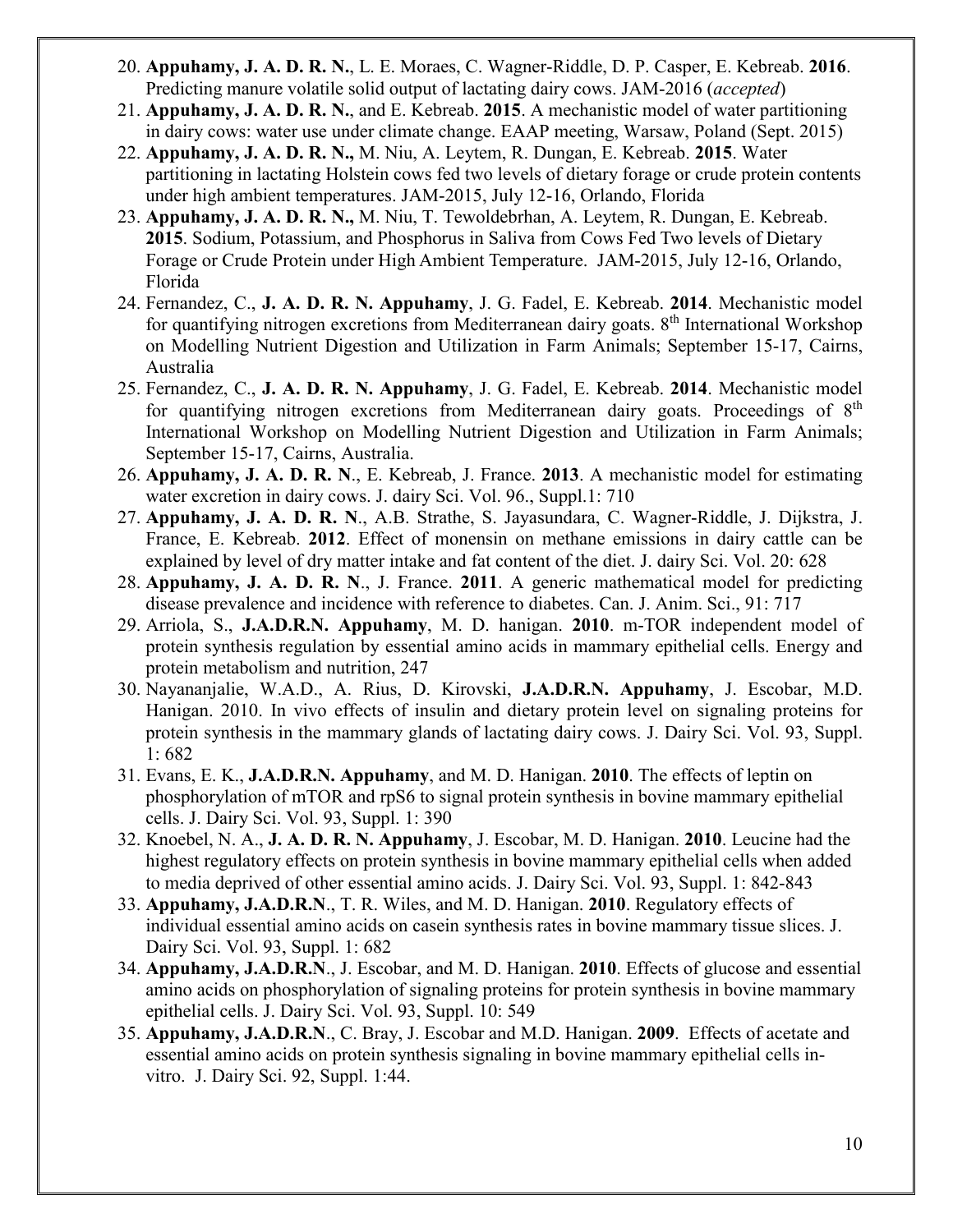- 20. **Appuhamy, J. A. D. R. N.**, L. E. Moraes, C. Wagner-Riddle, D. P. Casper, E. Kebreab. **2016**. Predicting manure volatile solid output of lactating dairy cows. JAM-2016 (*accepted*)
- 21. **Appuhamy, J. A. D. R. N.**, and E. Kebreab. **2015**. A mechanistic model of water partitioning in dairy cows: water use under climate change. EAAP meeting, Warsaw, Poland (Sept. 2015)
- 22. **Appuhamy, J. A. D. R. N.,** M. Niu, A. Leytem, R. Dungan, E. Kebreab. **2015**. Water partitioning in lactating Holstein cows fed two levels of dietary forage or crude protein contents under high ambient temperatures. JAM-2015, July 12-16, Orlando, Florida
- 23. **Appuhamy, J. A. D. R. N.,** M. Niu, T. Tewoldebrhan, A. Leytem, R. Dungan, E. Kebreab. **2015**. Sodium, Potassium, and Phosphorus in Saliva from Cows Fed Two levels of Dietary Forage or Crude Protein under High Ambient Temperature. JAM-2015, July 12-16, Orlando, Florida
- 24. Fernandez, C., **J. A. D. R. N. Appuhamy**, J. G. Fadel, E. Kebreab. **2014**. Mechanistic model for quantifying nitrogen excretions from Mediterranean dairy goats.  $8<sup>th</sup>$  International Workshop on Modelling Nutrient Digestion and Utilization in Farm Animals; September 15-17, Cairns, Australia
- 25. Fernandez, C., **J. A. D. R. N. Appuhamy**, J. G. Fadel, E. Kebreab. **2014**. Mechanistic model for quantifying nitrogen excretions from Mediterranean dairy goats. Proceedings of  $8<sup>th</sup>$ International Workshop on Modelling Nutrient Digestion and Utilization in Farm Animals; September 15-17, Cairns, Australia.
- 26. **Appuhamy, J. A. D. R. N**., E. Kebreab, J. France. **2013**. A mechanistic model for estimating water excretion in dairy cows. J. dairy Sci. Vol. 96., Suppl.1: 710
- 27. **Appuhamy, J. A. D. R. N**., A.B. Strathe, S. Jayasundara, C. Wagner-Riddle, J. Dijkstra, J. France, E. Kebreab. **2012**. [Effect of monensin on methane emissions in dairy cattle can be](https://scholar.google.com/scholar?oi=bibs&cluster=6661300330052561865&btnI=1&hl=en)  [explained by level of dry matter intake and fat content of the diet.](https://scholar.google.com/scholar?oi=bibs&cluster=6661300330052561865&btnI=1&hl=en) J. dairy Sci. Vol. 20: 628
- 28. **Appuhamy, J. A. D. R. N**., J. France. **2011**. A generic mathematical model for predicting disease prevalence and incidence with reference to diabetes. Can. J. Anim. Sci., 91: 717
- 29. Arriola, S., **J.A.D.R.N. Appuhamy**, M. D. hanigan. **2010**. [m-TOR independent model of](https://scholar.google.com/scholar?oi=bibs&cluster=10131152794339094615&btnI=1&hl=en)  [protein synthesis regulation by essential amino acids in mammary epithelial cells.](https://scholar.google.com/scholar?oi=bibs&cluster=10131152794339094615&btnI=1&hl=en) Energy and protein metabolism and nutrition, 247
- 30. Nayananjalie, W.A.D., A. Rius, D. Kirovski, **J.A.D.R.N. Appuhamy**, J. Escobar, M.D. Hanigan. 2010. [In vivo effects of insulin and dietary protein level on signaling proteins for](https://scholar.google.com/scholar?oi=bibs&cluster=5773559934657178929&btnI=1&hl=en)  [protein synthesis in the mammary glands of lactating dairy cows.](https://scholar.google.com/scholar?oi=bibs&cluster=5773559934657178929&btnI=1&hl=en) J. Dairy Sci. Vol. 93, Suppl. 1: 682
- 31. Evans, E. K., **J.A.D.R.N. Appuhamy**, and M. D. Hanigan. **2010**. The effects of leptin on phosphorylation of mTOR and rpS6 to signal protein synthesis in bovine mammary epithelial cells. J. Dairy Sci. Vol. 93, Suppl. 1: 390
- 32. Knoebel, N. A., **J. A. D. R. N. Appuhamy**, J. Escobar, M. D. Hanigan. **2010**. [Leucine had the](https://scholar.google.com/scholar?oi=bibs&cluster=11343422161626153823&btnI=1&hl=en)  [highest regulatory effects on protein synthesis in bovine mammary epithelial cells when added](https://scholar.google.com/scholar?oi=bibs&cluster=11343422161626153823&btnI=1&hl=en)  [to media deprived of other essential amino acids.](https://scholar.google.com/scholar?oi=bibs&cluster=11343422161626153823&btnI=1&hl=en) J. Dairy Sci. Vol. 93, Suppl. 1: 842-843
- 33. **Appuhamy, J.A.D.R.N**., T. R. Wiles, and M. D. Hanigan. **2010**. Regulatory effects of individual essential amino acids on casein synthesis rates in bovine mammary tissue slices. J. Dairy Sci. Vol. 93, Suppl. 1: 682
- 34. **Appuhamy, J.A.D.R.N**., J. Escobar, and M. D. Hanigan. **2010**. Effects of glucose and essential amino acids on phosphorylation of signaling proteins for protein synthesis in bovine mammary epithelial cells. J. Dairy Sci. Vol. 93, Suppl. 10: 549
- 35. **Appuhamy, J.A.D.R.N**., C. Bray, J. Escobar and M.D. Hanigan. **2009**. Effects of acetate and essential amino acids on protein synthesis signaling in bovine mammary epithelial cells invitro. J. Dairy Sci. 92, Suppl. 1:44.